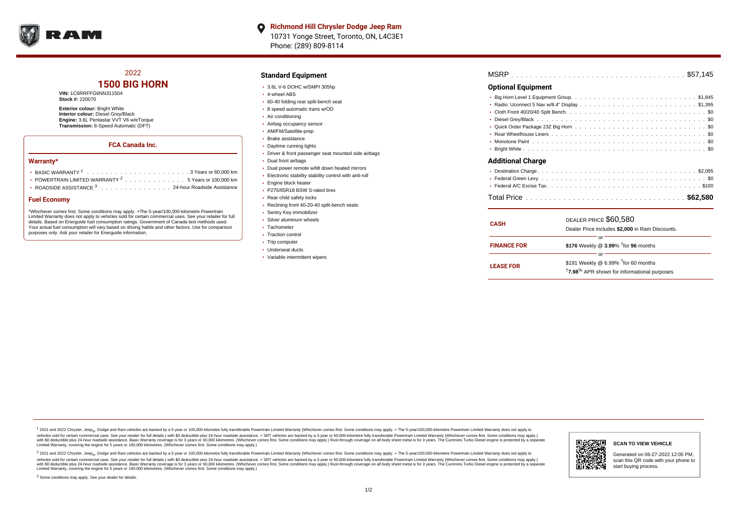

## 2022

## **1500 BIG HORN**

#### **VIN:** 1C6RRFFG6NN311504 **Stock #:** 220070

**Exterior colour:** Bright White **Interior colour:** Diesel Grey/Black

**Engine:** 3.6L Pentastar VVT V6 w/eTorque **Transmission:** 8-Speed Automatic (DFT)

## **FCA Canada Inc.**

#### **Warranty\***

| POWERTRAIN LIMITED WARRANTY $2, \ldots, \ldots, \ldots, \ldots, 5$ Years or 100.000 km |  |  |  |  |  |  |  |
|----------------------------------------------------------------------------------------|--|--|--|--|--|--|--|

ROADSIDE ASSISTANCE  $3 \ldots \ldots \ldots \ldots \ldots \ldots \ldots 24$ -hour Roadside Assistance

#### **Fuel Economy**

\*Whichever comes first. Some conditions may apply. +The 5-year/100,000-kilometre Powertrain Limited Warranty does not apply to vehicles sold for certain commercial uses. See your retailer for full details. Based on Energuide fuel consumption ratings. Government of Canada test methods used. Your actual fuel consumption will vary based on driving habits and other factors. Use for comparison purposes only. Ask your retailer for Energuide information.

### **Standard Equipment**

- 3.6L V-6 DOHC w/SMPI 305hp
- 4-wheel ABS
- 60-40 folding rear split-bench seat
- 8 speed automatic trans w/OD
- Air conditioning
- Airbag occupancy sensor
- AM/FM/Satellite-prep
- Brake assistance
- Daytime running lights
- Driver & front passenger seat mounted side airbags
- Dual front airbags
- Dual power remote w/tilt down heated mirrors
- Electronic stability stability control with anti-roll
- **Engine block heater**
- P275/65R18 BSW S-rated tires
- Rear child safety locks
- Reclining front 40-20-40 split-bench seats
- Sentry Key immobilizer
- Silver aluminum wheels
- Tachometer
- Traction control
- Trip computer
- Underseat ducts
- Variable intermittent wipers

| -------- |  |  |  |  |  |  |  |  |  |  |  |  |  |  |  |  |  |
|----------|--|--|--|--|--|--|--|--|--|--|--|--|--|--|--|--|--|

### **Optional Equipment**

| <b>Additional Charge</b> |  |  |  |  |  |  |  |  |  |  |  |  |  |  |
|--------------------------|--|--|--|--|--|--|--|--|--|--|--|--|--|--|
|                          |  |  |  |  |  |  |  |  |  |  |  |  |  |  |
|                          |  |  |  |  |  |  |  |  |  |  |  |  |  |  |
|                          |  |  |  |  |  |  |  |  |  |  |  |  |  |  |

| <b>CASH</b>        | DEALER PRICE \$60,580<br>Dealer Price includes \$2,000 in Ram Discounts.                                                        |  |  |  |  |  |  |  |  |  |
|--------------------|---------------------------------------------------------------------------------------------------------------------------------|--|--|--|--|--|--|--|--|--|
| <b>FINANCE FOR</b> | Ωľ<br>\$176 Weekly @ 3.99% <sup>t</sup> for 96 months                                                                           |  |  |  |  |  |  |  |  |  |
| <b>LEASE FOR</b>   | nr<br>\$191 Weekly @ $6.99\%$ <sup>†</sup> for 60 months<br><sup>†</sup> 7.98 <sup>%</sup> APR shown for informational purposes |  |  |  |  |  |  |  |  |  |

<sup>1</sup> 2021 and 2022 Chrysler, Jeep<sub>®</sub>, Dodge and Ram vehicles are backed by a 5-year or 100,000-kilometre fully transferable Powertrain Limited Warranty (Whichever comes first. Some conditions may apply. + The 5-year/100,000 debt of the Second relationship and property in the Second relations that with Soleculture and Second the Second relation of the Second relation of the Second relation of the Second relation of the Second relation of the S versus and contract the mean of the contract of the contract with a contract with a contract the contract of the contract of the contract the contract of the contract of the contract of the contract of the contract of the Limited Warranty, covering the engine for 5 years or 160,000 kilometres. (Whichever comes first. Some conditions may apply.)

2 2021 and 2022 Chrysler, Jeep<sub>®</sub>, Dodge and Ram vehicles are backed by a 5-year or 100,000-kilometre fully transferable Powertrain Limited Warranty (Whichever comes first. Some conditions may apply. + The 5-year/100,000-k vehicles sold for certain commercial uses. See your retailer for full details.) with SO deductible plus 24-hour roadside assistance. + SRT vehicles are backed by a 3-year or 60.000-kilometre fully transferable Powertrain L with S0 deductible plus 24-hour roadside assistance. Basic Warranty coverage is for 3 years or 60,000 kilometres. (Whichever comes first. Some conditions may apply.) Rust-through coverage on all body sheet metal is for 3 y



#### **SCAN TO VIEW VEHICLE**

Generated on 06-27-2022 12:05 PM, scan this QR code with your phone to start buying process.

<sup>3</sup> Some conditions may apply. See your dealer for details.